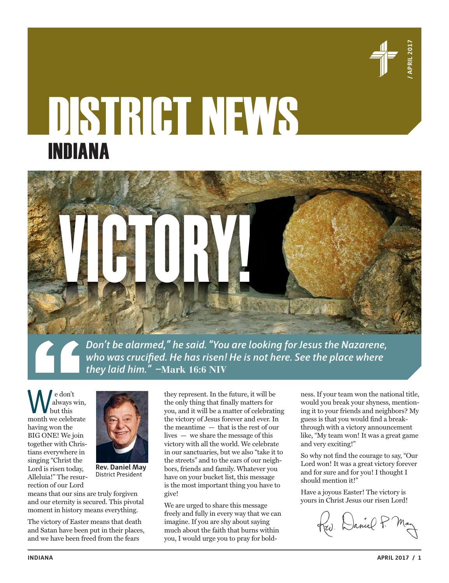

# DISTRICT NEWS INDIANA



*Don't be alarmed," he said. "You are looking for Jesus the Nazarene, who was crucified. He has risen! He is not here. See the place where they laid him." –***Mark 16:6 NIV**

e don't always win, but this month we celebrate having won the BIG ONE! We join together with Christians everywhere in singing "Christ the Lord is risen today, Alleluia!" The resurrection of our Lord



**Rev. Daniel May** District President

means that our sins are truly forgiven and our eternity is secured. This pivotal moment in history means everything.

The victory of Easter means that death and Satan have been put in their places, and we have been freed from the fears

they represent. In the future, it will be the only thing that finally matters for you, and it will be a matter of celebrating the victory of Jesus forever and ever. In the meantime — that is the rest of our lives — we share the message of this victory with all the world. We celebrate in our sanctuaries, but we also "take it to the streets" and to the ears of our neighbors, friends and family. Whatever you have on your bucket list, this message is the most important thing you have to give!

We are urged to share this message freely and fully in every way that we can imagine. If you are shy about saying much about the faith that burns within you, I would urge you to pray for boldness. If your team won the national title, would you break your shyness, mentioning it to your friends and neighbors? My guess is that you would find a breakthrough with a victory announcement like, "My team won! It was a great game and very exciting!"

So why not find the courage to say, "Our Lord won! It was a great victory forever and for sure and for you! I thought I should mention it!"

Have a joyous Easter! The victory is yours in Christ Jesus our risen Lord!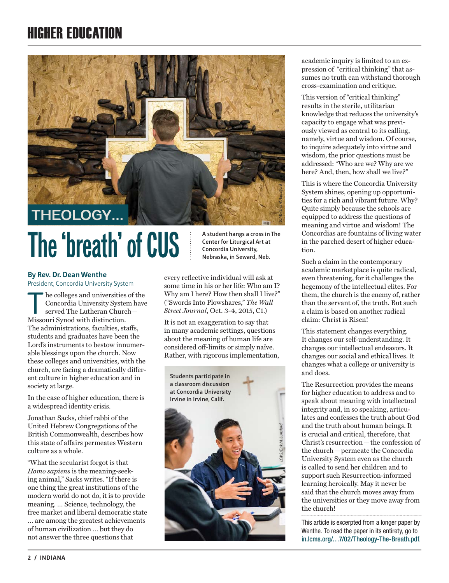## HIGHER EDUCATION



# The 'breath' of CUS **A student hangs a cross in The**

#### **By Rev. Dr. Dean Wenthe**

President, Concordia University System

he colleges and universities of the Concordia University System have served The Lutheran Church— Missouri Synod with distinction. The administrations, faculties, staffs, students and graduates have been the Lord's instruments to bestow innumerable blessings upon the church. Now these colleges and universities, with the church, are facing a dramatically different culture in higher education and in society at large.

In the case of higher education, there is a widespread identity crisis.

Jonathan Sacks, chief rabbi of the United Hebrew Congregations of the British Commonwealth, describes how this state of affairs permeates Western culture as a whole.

"What the secularist forgot is that *Homo sapiens* is the meaning-seeking animal," Sacks writes. "If there is one thing the great institutions of the modern world do not do, it is to provide meaning. … Science, technology, the free market and liberal democratic state

… are among the greatest achievements of human civilization … but they do not answer the three questions that

**Center for Liturgical Art at Concordia University, Nebraska, in Seward, Neb.**

every reflective individual will ask at some time in his or her life: Who am I? Why am I here? How then shall I live?" ("Swords Into Plowshares," *The Wall Street Journal*, Oct. 3-4, 2015, C1.)

It is not an exaggeration to say that in many academic settings, questions about the meaning of human life are considered off-limits or simply naïve. Rather, with rigorous implementation,



academic inquiry is limited to an expression of "critical thinking" that assumes no truth can withstand thorough cross-examination and critique.

This version of "critical thinking" results in the sterile, utilitarian knowledge that reduces the university's capacity to engage what was previously viewed as central to its calling, namely, virtue and wisdom. Of course, to inquire adequately into virtue and wisdom, the prior questions must be addressed: "Who are we? Why are we here? And, then, how shall we live?"

This is where the Concordia University System shines, opening up opportunities for a rich and vibrant future. Why? Quite simply because the schools are equipped to address the questions of meaning and virtue and wisdom! The Concordias are fountains of living water in the parched desert of higher education.

Such a claim in the contemporary academic marketplace is quite radical, even threatening, for it challenges the hegemony of the intellectual elites. For them, the church is the enemy of, rather than the servant of, the truth. But such a claim is based on another radical claim: Christ is Risen!

This statement changes everything. It changes our self-understanding. It changes our intellectual endeavors. It changes our social and ethical lives. It changes what a college or university is and does.

The Resurrection provides the means for higher education to address and to speak about meaning with intellectual integrity and, in so speaking, articulates and confesses the truth about God and the truth about human beings. It is crucial and critical, therefore, that Christ's resurrection—the confession of the church—permeate the Concordia University System even as the church is called to send her children and to support such Resurrection-informed learning heroically. May it never be said that the church moves away from the universities or they move away from the church!

This article is excerpted from a longer paper by Wenthe. To read the paper in its entirety, go to in.lcms.org/…7/02/Theology-The-Breath.pdf.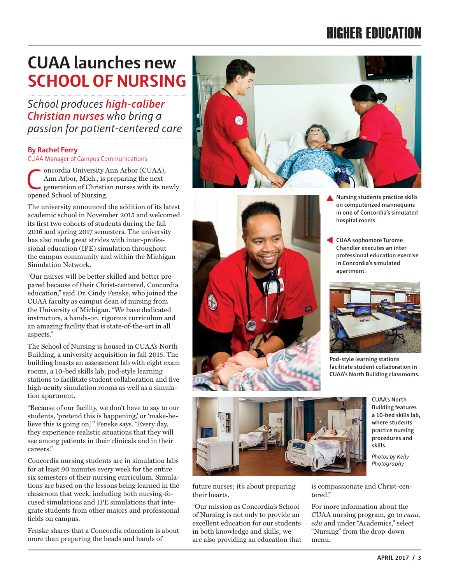## HIGHER EDUCATION

## **CUAA launches new SCHOOL OF NURSING**

*School produces high-caliber Christian nurses who bring a passion for patient-centered care*

#### **By Rachel Ferry**

CUAA Manager of Campus Communications

Concordia University Ann Arbor (CUAA),<br>
Ann Arbor, Mich., is preparing the next<br>
generation of Christian nurses with its newly<br>
concord School of Nursing Ann Arbor, Mich., is preparing the next opened School of Nursing.

The university announced the addition of its latest academic school in November 2015 and welcomed its first two cohorts of students during the fall 2016 and spring 2017 semesters. The university has also made great strides with inter-professional education (IPE) simulation throughout the campus community and within the Michigan Simulation Network.

"Our nurses will be better skilled and better prepared because of their Christ-centered, Concordia education," said Dr. Cindy Fenske, who joined the CUAA faculty as campus dean of nursing from the University of Michigan. "We have dedicated instructors, a hands-on, rigorous curriculum and an amazing facility that is state-of-the-art in all aspects."

The School of Nursing is housed in CUAA's North Building, a university acquisition in fall 2015. The building boasts an assessment lab with eight exam rooms, a 10-bed skills lab, pod-style learning stations to facilitate student collaboration and five high-acuity simulation rooms as well as a simulation apartment.

"Because of our facility, we don't have to say to our students, 'pretend this is happening,' or 'make-believe this is going on,'" Fenske says. "Every day, they experience realistic situations that they will see among patients in their clinicals and in their careers."

Concordia nursing students are in simulation labs for at least 90 minutes every week for the entire six semesters of their nursing curriculum. Simulations are based on the lessons being learned in the classroom that week, including both nursing-focused simulations and IPE simulations that integrate students from other majors and professional fields on campus.

Fenske shares that a Concordia education is about more than preparing the heads and hands of







**CUAA sophomore Turome Chandler executes an interprofessional education exercise in Concordia's simulated apartment.**



**Pod-style learning stations facilitate student collaboration in CUAA's North Building classrooms.**



future nurses; it's about preparing their hearts.

"Our mission as Concordia's School of Nursing is not only to provide an excellent education for our students in both knowledge and skills; we are also providing an education that **CUAA's North Building features a 10-bed skills lab, where students practice nursing procedures and skills.**

*Photos by Kelly Photography*

is compassionate and Christ-centered."

For more information about the CUAA nursing program, go to *cuaa. edu* and under "Academics," select "Nursing" from the drop-down menu.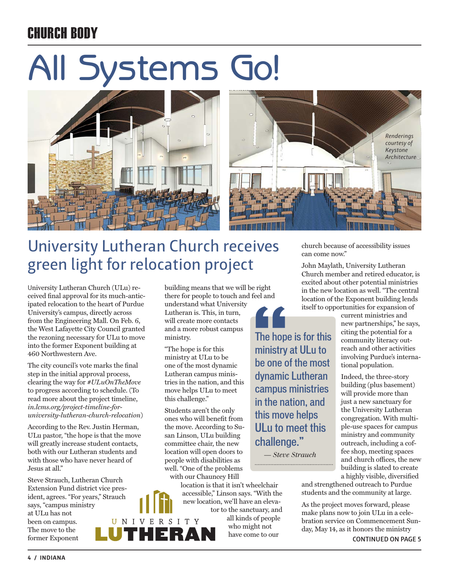## CHURCH BODY

# All Systems Go!





ministry at ULu to be one of the most dynamic Lutheran campus ministries in the nation, and this move helps ULu to meet this

challenge."

 *— Steve Strauch*

## University Lutheran Church receives green light for relocation project

University Lutheran Church (ULu) received final approval for its much-anticipated relocation to the heart of Purdue University's campus, directly across from the Engineering Mall. On Feb. 6, the West Lafayette City Council granted the rezoning necessary for ULu to move into the former Exponent building at 460 Northwestern Ave.

The city council's vote marks the final step in the initial approval process, clearing the way for *#ULuOnTheMove* to progress according to schedule. (To read more about the project timeline, *in.lcms.org/project-timeline-foruniversity-lutheran-church-relocation*)

According to the Rev. Justin Herman, ULu pastor, "the hope is that the move will greatly increase student contacts, both with our Lutheran students and with those who have never heard of Jesus at all."

Steve Strauch, Lutheran Church Extension Fund district vice president, agrees. "For years," Strauch says, "campus ministry at ULu has not been on campus. The move to the former Exponent

building means that we will be right there for people to touch and feel and understand what University Lutheran is. This, in turn, will create more contacts and a more robust campus ministry. The hope is for this

"The hope is for this ministry at ULu to be one of the most dynamic Lutheran campus ministries in the nation, and this move helps ULu to meet this challenge."

Students aren't the only ones who will benefit from the move. According to Susan Linson, ULu building committee chair, the new location will open doors to people with disabilities as well. "One of the problems with our Chauncey Hill

location is that it isn't wheelchair accessible," Linson says. "With the new location, we'll have an elevator to the sanctuary, and

all kinds of people who might not have come to our

church because of accessibility issues can come now."

John Maylath, University Lutheran Church member and retired educator, is excited about other potential ministries in the new location as well. "The central location of the Exponent building lends itself to opportunities for expansion of

current ministries and new partnerships," he says, citing the potential for a community literacy outreach and other activities involving Purdue's international population.

Indeed, the three-story building (plus basement) will provide more than just a new sanctuary for the University Lutheran congregation. With multiple-use spaces for campus ministry and community outreach, including a coffee shop, meeting spaces and church offices, the new building is slated to create a highly visible, diversified

and strengthened outreach to Purdue students and the community at large.

As the project moves forward, please make plans now to join ULu in a celebration service on Commencement Sunday, May 14, as it honors the ministry **CONTINUED ON PAGE 5**

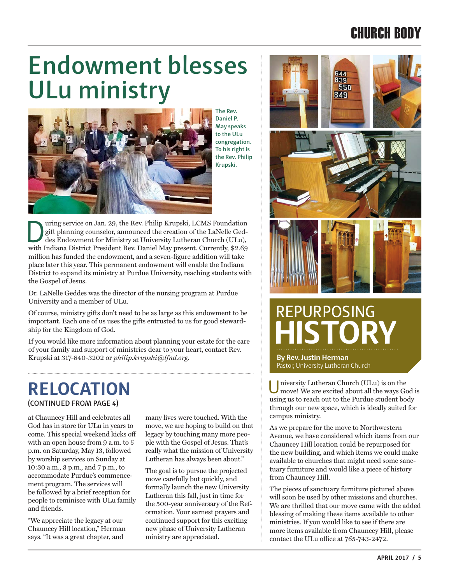## CHURCH BODY

## **Endowment blesses ULu ministry**



**The Rev. Daniel P. May speaks to the ULu congregation. To his right is the Rev. Philip Krupski.**

University Commander on Jan. 29, the Rev. Philip Krupski, LCMS Foundation gift planning counselor, announced the creation of the LaNelle Geddes Endowment for Ministry at University Lutheran Church (ULu), with Indiana Distr gift planning counselor, announced the creation of the LaNelle Gedwith Indiana District President Rev. Daniel May present. Currently, \$2.69 million has funded the endowment, and a seven-figure addition will take place later this year. This permanent endowment will enable the Indiana District to expand its ministry at Purdue University, reaching students with the Gospel of Jesus.

Dr. LaNelle Geddes was the director of the nursing program at Purdue University and a member of ULu.

Of course, ministry gifts don't need to be as large as this endowment to be important. Each one of us uses the gifts entrusted to us for good stewardship for the Kingdom of God.

If you would like more information about planning your estate for the care of your family and support of ministries dear to your heart, contact Rev. Krupski at 317-840-3202 or *philip.krupski@lfnd.org*.

#### **RELOCATION (CONTINUED FROM PAGE 4)**

at Chauncey Hill and celebrates all God has in store for ULu in years to come. This special weekend kicks off with an open house from 9 a.m. to 5 p.m. on Saturday, May 13, followed by worship services on Sunday at 10:30 a.m., 3 p.m., and 7 p.m., to accommodate Purdue's commencement program. The services will be followed by a brief reception for people to reminisce with ULu family and friends.

"We appreciate the legacy at our Chauncey Hill location," Herman says. "It was a great chapter, and

many lives were touched. With the move, we are hoping to build on that legacy by touching many more people with the Gospel of Jesus. That's really what the mission of University Lutheran has always been about."

The goal is to pursue the projected move carefully but quickly, and formally launch the new University Lutheran this fall, just in time for the 500-year anniversary of the Reformation. Your earnest prayers and continued support for this exciting new phase of University Lutheran ministry are appreciated.



## EPURPOSING **HISTORY**

**By Rev. Justin Herman** Pastor, University Lutheran Church

University Lutheran Church (ULu) is on the move! We are excited about all the ways God is using us to reach out to the Purdue student body through our new space, which is ideally suited for campus ministry.

As we prepare for the move to Northwestern Avenue, we have considered which items from our Chauncey Hill location could be repurposed for the new building, and which items we could make available to churches that might need some sanctuary furniture and would like a piece of history from Chauncey Hill.

The pieces of sanctuary furniture pictured above will soon be used by other missions and churches. We are thrilled that our move came with the added blessing of making these items available to other ministries. If you would like to see if there are more items available from Chauncey Hill, please contact the ULu office at 765-743-2472.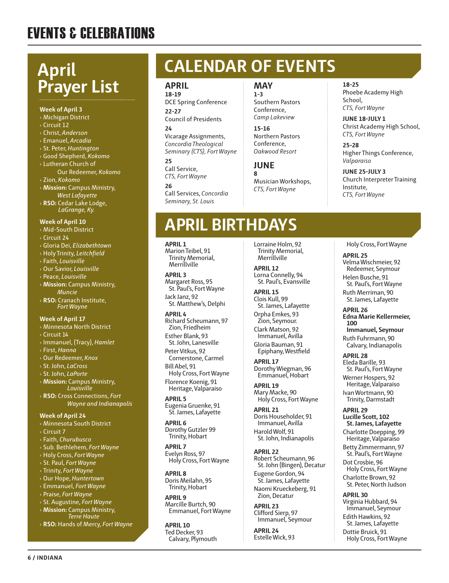## EVENTS & CELEBRATIONS

## **April Prayer List**

#### **Week of April 3**

#### › Michigan District

- › Circuit 12
- › Christ, *Anderson*
- › Emanuel, *Arcadia*
- › St. Peter, *Huntington*
- › Good Shepherd, *Kokomo*
- › Lutheran Church of
- Our Redeemer, *Kokomo* › Zion, *Kokomo*
- › **Mission:** Campus Ministry, *West Lafayette*
- › **RSO:** Cedar Lake Lodge,  *LaGrange, Ky.*

#### **Week of April 10**

- › Mid-South District
- › Circuit 24
- › Gloria Dei, *Elizabethtown*
- › Holy Trinity, *Leitchfield*
- › Faith, *Louisville*
- › Our Savior, *Louisville*
- › Peace, *Louisville*
- › **Mission:** Campus Ministry, *Muncie*
- › **RSO:** Cranach Institute, *Fort Wayne*

#### **Week of April 17**

- › Minnesota North District
- › Circuit 14
- › Immanuel, (Tracy), *Hamlet*
- › First, *Hanna*
- › Our Redeemer, *Knox*
- › St. John, *LaCross*
- › St. John, *LaPorte*
- › **Mission:** Campus Ministry, *Louisville*
- › **RSO:** Cross Connections, *Fort Wayne and Indianapolis*

#### **Week of April 24**

- › Minnesota South District
- › Circuit 7

**6 / INDIANA**

- › Faith, *Churubusco*
- › Sub. Bethlehem, *Fort Wayne*
- › Holy Cross, *Fort Wayne*
- › St. Paul, *Fort Wayne*
- › Trinity, *Fort Wayne*
- › Our Hope, *Huntertown*
- › Emmanuel, *Fort Wayne*
- › Praise, *Fort Wayne*
- › St. Augustine, *Fort Wayne*
- › **Mission:** Campus Ministry,  *Terre Haute*
- › **RSO:** Hands of Mercy, *Fort Wayne*

## **CALENDAR OF EVENTS**

#### **APRIL 18-19**

DCE Spring Conference **22-27** Council of Presidents

#### **24**

Vicarage Assignments, *Concordia Theological Seminary (CTS), Fort Wayne*

**25** Call Service, *CTS, Fort Wayne*

**26** Call Services, *Concordia Seminary, St. Louis*

#### **MAY 1-3**

Southern Pastors Conference, *Camp Lakeview*

**15-16** Northern Pastors Conference, *Oakwood Resort*

#### **JUNE**

**8** Musician Workshops, *CTS, Fort Wayne*

#### **18-25**

Phoebe Academy High School, *CTS, Fort Wayne*

**JUNE 18-JULY 1** Christ Academy High School, *CTS, Fort Wayne*

**25-28** Higher Things Conference, *Valparaiso*

**JUNE 25-JULY 3** Church Interpreter Training Institute, *CTS, Fort Wayne*

## **APRIL BIRTHDAYS**

#### **APRIL 1**

Marion Teibel, 91 Trinity Memorial, Merrillville

**APRIL 3** Margaret Ross, 95 St. Paul's, Fort Wayne Jack Janz, 92

St. Matthew's, Delphi **APRIL 4**

Richard Scheumann, 97 Zion, Friedheim

Esther Blank, 93 St. John, Lanesville

Peter Vitkus, 92 Cornerstone, Carmel Bill Abel, 91

Holy Cross, Fort Wayne Florence Koenig, 91 Heritage, Valparaiso

**APRIL 5** Eugenia Gruenke, 91 St. James, Lafayette

**APRIL 6** Dorothy Gutzler 99 Trinity, Hobart

**APRIL 7** Evelyn Ross, 97 Holy Cross, Fort Wayne

**APRIL 8** Doris Meilahn, 95 Trinity, Hobart

**APRIL 9** Marcille Burtch, 90 Emmanuel, Fort Wayne

**APRIL 10** Ted Decker, 93 Calvary, Plymouth Lorraine Holm, 92 Trinity Memorial, Merrillville

**APRIL 12** Lorna Connelly, 94 St. Paul's, Evansville

**APRIL 15** Clois Kull, 99 St. James, Lafayette

Orpha Emkes, 93 Zion, Seymour. Clark Matson, 92

Immanuel, Avilla Gloria Bauman, 91 Epiphany, Westfield

**APRIL 17** Dorothy Wiegman, 96 Emmanuel, Hobart

**APRIL 19** Mary Macke, 90 Holy Cross, Fort Wayne

**APRIL 21** Doris Householder, 91 Immanuel, Avilla Harold Wolf, 91 St. John, Indianapolis

**APRIL 22** Robert Scheumann, 96 St. John (Bingen), Decatur Eugene Gordon, 94 St. James, Lafayette Naomi Krueckeberg, 91

Zion, Decatur **APRIL 23**

Clifford Sierp, 97 Immanuel, Seymour

**APRIL 24** Estelle Wick, 93 Holy Cross, Fort Wayne

#### **APRIL 25** Velma Wischmeier, 92 Redeemer, Seymour Helen Busche, 91 St. Paul's, Fort Wayne

Ruth Merriman, 90 St. James, Lafayette

**APRIL 26 Edna Marie Kellermeier, 100 Immanuel, Seymour**

Ruth Fuhrmann, 90 Calvary, Indianapolis

**APRIL 28** Eleda Barille, 93 St. Paul's, Fort Wayne Werner Hospers, 92 Heritage, Valparaiso Ivan Wortmann, 90 Trinity, Darmstadt

**APRIL 29 Lucille Scott, 102 St. James, Lafayette**

Charlotte Doepping, 99 Heritage, Valparaiso

Betty Zimmermann, 97 St. Paul's, Fort Wayne Dot Crosbie, 96

Virginia Hubbard, 94 Immanuel, Seymour Edith Hawkins, 92 St. James, Lafayette Dottie Bruick, 91 Holy Cross, Fort Wayne

**APRIL 30**

Holy Cross, Fort Wayne Charlotte Brown, 92 St. Peter, North Judson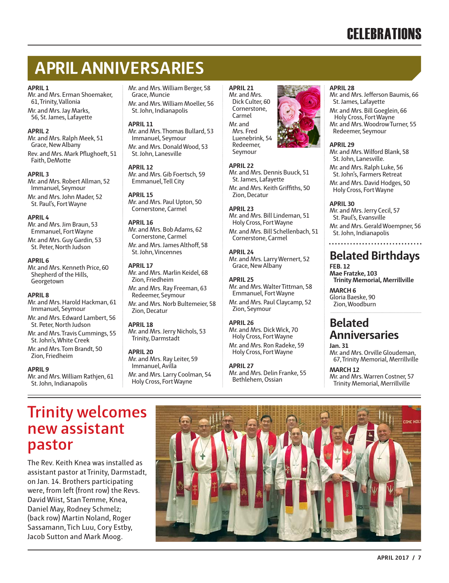## **APRIL ANNIVERSARIES**

#### **APRIL 1**

Mr. and Mrs. Erman Shoemaker, 61, Trinity, Vallonia Mr. and Mrs. Jay Marks, 56, St. James, Lafayette

#### **APRIL 2**

Mr. and Mrs. Ralph Meek, 51 Grace, New Albany Rev. and Mrs. Mark Pflughoeft, 51 Faith, DeMotte

#### **APRIL 3**

Mr. and Mrs. Robert Allman, 52 Immanuel, Seymour Mr. and Mrs. John Mader, 52 St. Paul's, Fort Wayne

#### **APRIL 4**

Mr. and Mrs. Jim Braun, 53 Emmanuel, Fort Wayne Mr. and Mrs. Guy Gardin, 53 St. Peter, North Judson

#### **APRIL 6**

Mr. and Mrs. Kenneth Price, 60 Shepherd of the Hills, **Georgetown** 

#### **APRIL 8**

Mr. and Mrs. Harold Hackman, 61 Immanuel, Seymour Mr. and Mrs. Edward Lambert, 56

St. Peter, North Judson Mr. and Mrs. Travis Cummings, 55 St. John's, White Creek

Mr. and Mrs. Tom Brandt, 50 Zion, Friedheim

#### **APRIL 9**

Mr. and Mrs. William Rathjen, 61 St. John, Indianapolis

Mr. and Mrs. William Berger, 58 Grace, Muncie Mr. and Mrs. William Moeller, 56 St. John, Indianapolis

#### **APRIL 11**

Mr. and Mrs. Thomas Bullard, 53 Immanuel, Seymour Mr. and Mrs. Donald Wood, 53 St. John, Lanesville

#### **APRIL 12**

Mr. and Mrs. Gib Foertsch, 59 Emmanuel, Tell City

#### **APRIL 15**

Mr. and Mrs. Paul Upton, 50 Cornerstone, Carmel

#### **APRIL 16**

Mr. and Mrs. Bob Adams, 62 Cornerstone, Carmel Mr. and Mrs. James Althoff, 58 St. John, Vincennes

#### **APRIL 17**

Mr. and Mrs. Marlin Keidel, 68 Zion, Friedheim Mr. and Mrs. Ray Freeman, 63 Redeemer, Seymour Mr. and Mrs. Norb Bultemeier, 58 Zion, Decatur

#### **APRIL 18**

Mr. and Mrs. Jerry Nichols, 53 Trinity, Darmstadt

#### **APRIL 20**

Mr. and Mrs. Ray Leiter, 59 Immanuel, Avilla Mr. and Mrs. Larry Coolman, 54 Holy Cross, Fort Wayne

#### **APRIL 21** Mr. and Mrs. Dick Culter, 60 Cornerstone, Carmel Mr. and Mrs. Fred Luenebrink, 54 Redeemer,



Mr. and Mrs. Dennis Buuck, 51 St. James, Lafayette

Mr. and Mrs. Keith Griffiths, 50 Zion, Decatur

#### **APRIL 23**

Mr. and Mrs. Bill Lindeman, 51 Holy Cross, Fort Wayne Mr. and Mrs. Bill Schellenbach, 51 Cornerstone, Carmel

#### **APRIL 24**

Mr. and Mrs. Larry Wernert, 52 Grace, New Albany

#### **APRIL 25**

Mr. and Mrs. Walter Tittman, 58 Emmanuel, Fort Wayne

Mr. and Mrs. Paul Claycamp, 52 Zion, Seymour

#### **APRIL 26**

Mr. and Mrs. Dick Wick, 70 Holy Cross, Fort Wayne Mr. and Mrs. Ron Radeke, 59 Holy Cross, Fort Wayne

#### **APRIL 27**

Mr. and Mrs. Delin Franke, 55 Bethlehem, Ossian

#### **APRIL 28**

- Mr. and Mrs. Jefferson Baumis, 66 St. James, Lafayette
- Mr. and Mrs. Bill Goeglein, 66 Holy Cross, Fort Wayne
- Mr. and Mrs. Woodrow Turner, 55 Redeemer, Seymour

#### **APRIL 29**

Mr. and Mrs. Wilford Blank, 58 St. John, Lanesville.

- Mr. and Mrs. Ralph Luke, 56 St. John's, Farmers Retreat
- Mr. and Mrs. David Hodges, 50 Holy Cross, Fort Wayne

#### **APRIL 30**

Mr. and Mrs. Jerry Cecil, 57 St. Paul's, Evansville Mr. and Mrs. Gerald Woempner, 56 St. John, Indianapolis

### **Belated Birthdays**

**FEB. 12 Mae Fratzke, 103 Trinity Memorial, Merrillville**

**MARCH 6** Gloria Baeske, 90 Zion, Woodburn

. . . . . . . . . . . . . . . .

### **Belated Anniversaries**

**Jan. 31**

Mr. and Mrs. Orville Gloudeman, 67, Trinity Memorial, Merrillville

#### **MARCH 12**

Mr. and Mrs. Warren Costner, 57 Trinity Memorial, Merrillville

### **Trinity welcomes new assistant pastor**

The Rev. Keith Knea was installed as assistant pastor at Trinity, Darmstadt, on Jan. 14. Brothers participating were, from left (front row) the Revs. David Wiist, Stan Temme, Knea, Daniel May, Rodney Schmelz; (back row) Martin Noland, Roger Sassamann, Tich Luu, Cory Estby, Jacob Sutton and Mark Moog.